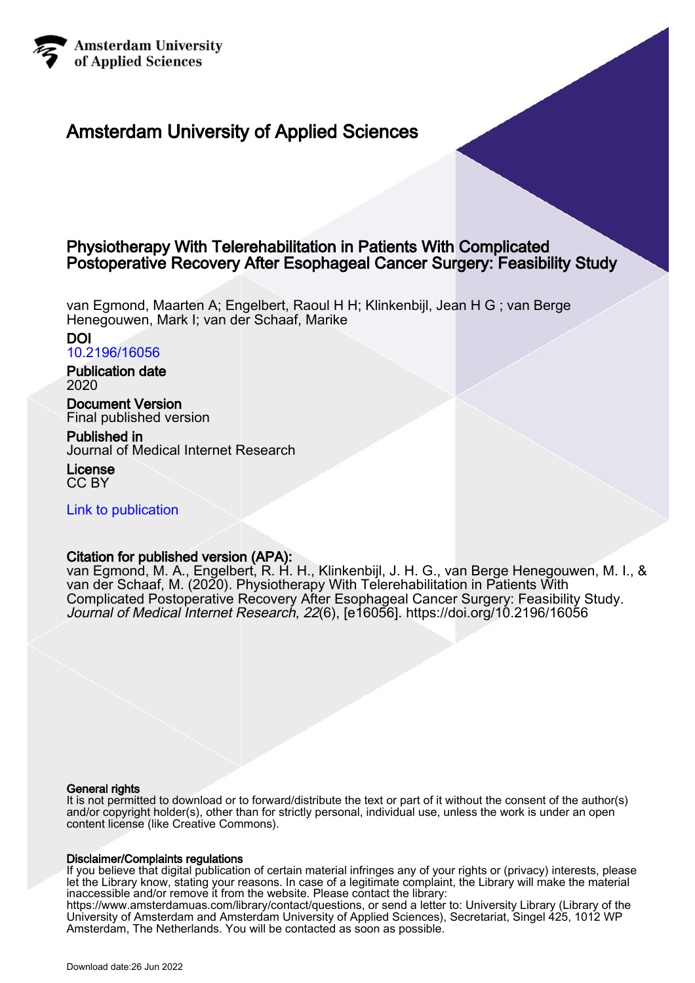

# Amsterdam University of Applied Sciences

## Physiotherapy With Telerehabilitation in Patients With Complicated Postoperative Recovery After Esophageal Cancer Surgery: Feasibility Study

van Egmond, Maarten A; Engelbert, Raoul H H; Klinkenbijl, Jean H G ; van Berge Henegouwen, Mark I; van der Schaaf, Marike

DOI

[10.2196/16056](https://doi.org/10.2196/16056)

Publication date 2020

Document Version Final published version

Published in Journal of Medical Internet Research

License CC BY

[Link to publication](https://research.hva.nl/en/publications/29b9faf6-8eae-480e-ba40-418186c4bde7)

## Citation for published version (APA):

van Egmond, M. A., Engelbert, R. H. H., Klinkenbijl, J. H. G., van Berge Henegouwen, M. I., & van der Schaaf, M. (2020). Physiotherapy With Telerehabilitation in Patients With Complicated Postoperative Recovery After Esophageal Cancer Surgery: Feasibility Study. Journal of Medical Internet Research, 22(6), [e16056]. <https://doi.org/10.2196/16056>

#### General rights

It is not permitted to download or to forward/distribute the text or part of it without the consent of the author(s) and/or copyright holder(s), other than for strictly personal, individual use, unless the work is under an open content license (like Creative Commons).

#### Disclaimer/Complaints regulations

If you believe that digital publication of certain material infringes any of your rights or (privacy) interests, please let the Library know, stating your reasons. In case of a legitimate complaint, the Library will make the material inaccessible and/or remove it from the website. Please contact the library: https://www.amsterdamuas.com/library/contact/questions, or send a letter to: University Library (Library of the University of Amsterdam and Amsterdam University of Applied Sciences), Secretariat, Singel 425, 1012 WP Amsterdam, The Netherlands. You will be contacted as soon as possible.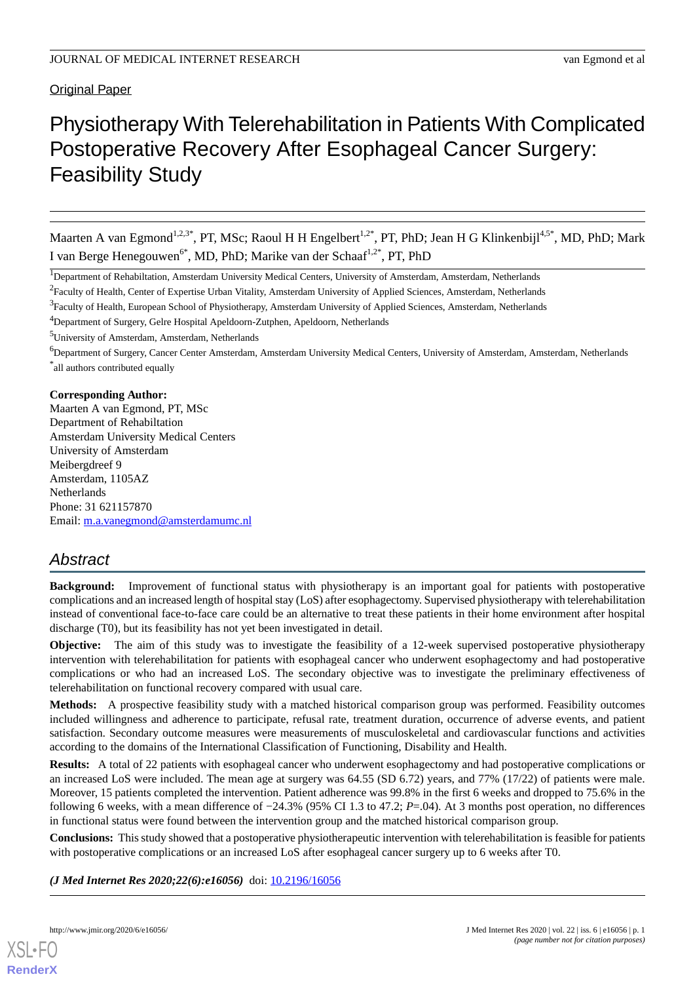**Original Paper** 

# Physiotherapy With Telerehabilitation in Patients With Complicated Postoperative Recovery After Esophageal Cancer Surgery: Feasibility Study

Maarten A van Egmond<sup>1,2,3\*</sup>, PT, MSc; Raoul H H Engelbert<sup>1,2\*</sup>, PT, PhD; Jean H G Klinkenbijl<sup>4,5\*</sup>, MD, PhD; Mark I van Berge Henegouwen<sup>6\*</sup>, MD, PhD; Marike van der Schaaf<sup>1,2\*</sup>, PT, PhD

<sup>4</sup>Department of Surgery, Gelre Hospital Apeldoorn-Zutphen, Apeldoorn, Netherlands

<sup>6</sup>Department of Surgery, Cancer Center Amsterdam, Amsterdam University Medical Centers, University of Amsterdam, Amsterdam, Netherlands \* all authors contributed equally

## **Corresponding Author:**

Maarten A van Egmond, PT, MSc Department of Rehabiltation Amsterdam University Medical Centers University of Amsterdam Meibergdreef 9 Amsterdam, 1105AZ **Netherlands** Phone: 31 621157870 Email: [m.a.vanegmond@amsterdamumc.nl](mailto:m.a.vanegmond@amsterdamumc.nl)

## *Abstract*

**Background:** Improvement of functional status with physiotherapy is an important goal for patients with postoperative complications and an increased length of hospital stay (LoS) after esophagectomy. Supervised physiotherapy with telerehabilitation instead of conventional face-to-face care could be an alternative to treat these patients in their home environment after hospital discharge (T0), but its feasibility has not yet been investigated in detail.

**Objective:** The aim of this study was to investigate the feasibility of a 12-week supervised postoperative physiotherapy intervention with telerehabilitation for patients with esophageal cancer who underwent esophagectomy and had postoperative complications or who had an increased LoS. The secondary objective was to investigate the preliminary effectiveness of telerehabilitation on functional recovery compared with usual care.

**Methods:** A prospective feasibility study with a matched historical comparison group was performed. Feasibility outcomes included willingness and adherence to participate, refusal rate, treatment duration, occurrence of adverse events, and patient satisfaction. Secondary outcome measures were measurements of musculoskeletal and cardiovascular functions and activities according to the domains of the International Classification of Functioning, Disability and Health.

**Results:** A total of 22 patients with esophageal cancer who underwent esophagectomy and had postoperative complications or an increased LoS were included. The mean age at surgery was 64.55 (SD 6.72) years, and 77% (17/22) of patients were male. Moreover, 15 patients completed the intervention. Patient adherence was 99.8% in the first 6 weeks and dropped to 75.6% in the following 6 weeks, with a mean difference of −24.3% (95% CI 1.3 to 47.2; *P*=.04). At 3 months post operation, no differences in functional status were found between the intervention group and the matched historical comparison group.

**Conclusions:** This study showed that a postoperative physiotherapeutic intervention with telerehabilitation is feasible for patients with postoperative complications or an increased LoS after esophageal cancer surgery up to 6 weeks after T0.

*(J Med Internet Res 2020;22(6):e16056)* doi:  $10.2196/16056$ 



<sup>&</sup>lt;sup>1</sup>Department of Rehabiltation, Amsterdam University Medical Centers, University of Amsterdam, Amsterdam, Netherlands

<sup>&</sup>lt;sup>2</sup> Faculty of Health, Center of Expertise Urban Vitality, Amsterdam University of Applied Sciences, Amsterdam, Netherlands

<sup>&</sup>lt;sup>3</sup> Faculty of Health, European School of Physiotherapy, Amsterdam University of Applied Sciences, Amsterdam, Netherlands

<sup>5</sup>University of Amsterdam, Amsterdam, Netherlands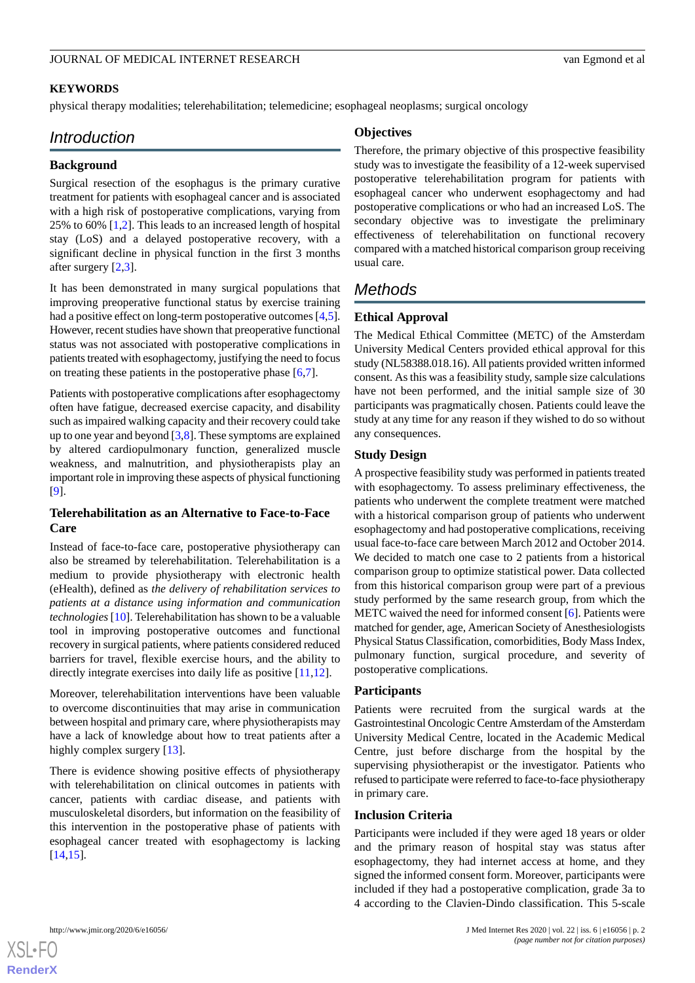## **KEYWORDS**

physical therapy modalities; telerehabilitation; telemedicine; esophageal neoplasms; surgical oncology

## *Introduction*

## **Background**

Surgical resection of the esophagus is the primary curative treatment for patients with esophageal cancer and is associated with a high risk of postoperative complications, varying from 25% to 60% [\[1](#page-10-0)[,2\]](#page-10-1). This leads to an increased length of hospital stay (LoS) and a delayed postoperative recovery, with a significant decline in physical function in the first 3 months after surgery [[2](#page-10-1)[,3\]](#page-10-2).

It has been demonstrated in many surgical populations that improving preoperative functional status by exercise training had a positive effect on long-term postoperative outcomes [[4](#page-10-3),[5\]](#page-11-0). However, recent studies have shown that preoperative functional status was not associated with postoperative complications in patients treated with esophagectomy, justifying the need to focus on treating these patients in the postoperative phase [\[6](#page-11-1),[7\]](#page-11-2).

Patients with postoperative complications after esophagectomy often have fatigue, decreased exercise capacity, and disability such as impaired walking capacity and their recovery could take up to one year and beyond  $[3,8]$  $[3,8]$  $[3,8]$  $[3,8]$ . These symptoms are explained by altered cardiopulmonary function, generalized muscle weakness, and malnutrition, and physiotherapists play an important role in improving these aspects of physical functioning [[9\]](#page-11-4).

## **Telerehabilitation as an Alternative to Face-to-Face Care**

Instead of face-to-face care, postoperative physiotherapy can also be streamed by telerehabilitation. Telerehabilitation is a medium to provide physiotherapy with electronic health (eHealth), defined as *the delivery of rehabilitation services to patients at a distance using information and communication technologies*[[10\]](#page-11-5). Telerehabilitation has shown to be a valuable tool in improving postoperative outcomes and functional recovery in surgical patients, where patients considered reduced barriers for travel, flexible exercise hours, and the ability to directly integrate exercises into daily life as positive [\[11](#page-11-6),[12\]](#page-11-7).

Moreover, telerehabilitation interventions have been valuable to overcome discontinuities that may arise in communication between hospital and primary care, where physiotherapists may have a lack of knowledge about how to treat patients after a highly complex surgery [\[13](#page-11-8)].

There is evidence showing positive effects of physiotherapy with telerehabilitation on clinical outcomes in patients with cancer, patients with cardiac disease, and patients with musculoskeletal disorders, but information on the feasibility of this intervention in the postoperative phase of patients with esophageal cancer treated with esophagectomy is lacking [[14](#page-11-9)[,15](#page-11-10)].

#### **Objectives**

Therefore, the primary objective of this prospective feasibility study was to investigate the feasibility of a 12-week supervised postoperative telerehabilitation program for patients with esophageal cancer who underwent esophagectomy and had postoperative complications or who had an increased LoS. The secondary objective was to investigate the preliminary effectiveness of telerehabilitation on functional recovery compared with a matched historical comparison group receiving usual care.

## *Methods*

## **Ethical Approval**

The Medical Ethical Committee (METC) of the Amsterdam University Medical Centers provided ethical approval for this study (NL58388.018.16). All patients provided written informed consent. As this was a feasibility study, sample size calculations have not been performed, and the initial sample size of 30 participants was pragmatically chosen. Patients could leave the study at any time for any reason if they wished to do so without any consequences.

## **Study Design**

A prospective feasibility study was performed in patients treated with esophagectomy. To assess preliminary effectiveness, the patients who underwent the complete treatment were matched with a historical comparison group of patients who underwent esophagectomy and had postoperative complications, receiving usual face-to-face care between March 2012 and October 2014. We decided to match one case to 2 patients from a historical comparison group to optimize statistical power. Data collected from this historical comparison group were part of a previous study performed by the same research group, from which the METC waived the need for informed consent [\[6](#page-11-1)]. Patients were matched for gender, age, American Society of Anesthesiologists Physical Status Classification, comorbidities, Body Mass Index, pulmonary function, surgical procedure, and severity of postoperative complications.

#### **Participants**

Patients were recruited from the surgical wards at the Gastrointestinal Oncologic Centre Amsterdam of the Amsterdam University Medical Centre, located in the Academic Medical Centre, just before discharge from the hospital by the supervising physiotherapist or the investigator. Patients who refused to participate were referred to face-to-face physiotherapy in primary care.

#### **Inclusion Criteria**

Participants were included if they were aged 18 years or older and the primary reason of hospital stay was status after esophagectomy, they had internet access at home, and they signed the informed consent form. Moreover, participants were included if they had a postoperative complication, grade 3a to 4 according to the Clavien-Dindo classification. This 5-scale

```
XSL•FO
RenderX
```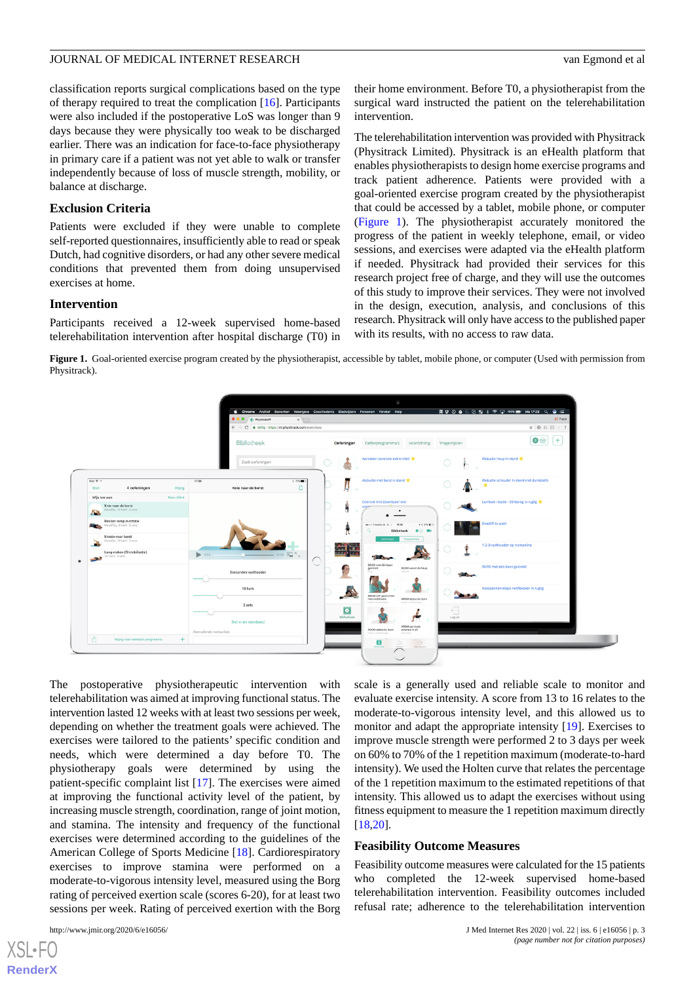classification reports surgical complications based on the type of therapy required to treat the complication [\[16](#page-11-11)]. Participants were also included if the postoperative LoS was longer than 9 days because they were physically too weak to be discharged earlier. There was an indication for face-to-face physiotherapy in primary care if a patient was not yet able to walk or transfer independently because of loss of muscle strength, mobility, or balance at discharge.

#### **Exclusion Criteria**

Patients were excluded if they were unable to complete self-reported questionnaires, insufficiently able to read or speak Dutch, had cognitive disorders, or had any other severe medical conditions that prevented them from doing unsupervised exercises at home.

#### **Intervention**

<span id="page-3-0"></span>Participants received a 12-week supervised home-based telerehabilitation intervention after hospital discharge (T0) in their home environment. Before T0, a physiotherapist from the surgical ward instructed the patient on the telerehabilitation intervention.

The telerehabilitation intervention was provided with Physitrack (Physitrack Limited). Physitrack is an eHealth platform that enables physiotherapists to design home exercise programs and track patient adherence. Patients were provided with a goal-oriented exercise program created by the physiotherapist that could be accessed by a tablet, mobile phone, or computer ([Figure 1](#page-3-0)). The physiotherapist accurately monitored the progress of the patient in weekly telephone, email, or video sessions, and exercises were adapted via the eHealth platform if needed. Physitrack had provided their services for this research project free of charge, and they will use the outcomes of this study to improve their services. They were not involved in the design, execution, analysis, and conclusions of this research. Physitrack will only have access to the published paper with its results, with no access to raw data.

Figure 1. Goal-oriented exercise program created by the physiotherapist, accessible by tablet, mobile phone, or computer (Used with permission from Physitrack).



The postoperative physiotherapeutic intervention with telerehabilitation was aimed at improving functional status. The intervention lasted 12 weeks with at least two sessions per week, depending on whether the treatment goals were achieved. The exercises were tailored to the patients' specific condition and needs, which were determined a day before T0. The physiotherapy goals were determined by using the patient-specific complaint list [\[17](#page-11-12)]. The exercises were aimed at improving the functional activity level of the patient, by increasing muscle strength, coordination, range of joint motion, and stamina. The intensity and frequency of the functional exercises were determined according to the guidelines of the American College of Sports Medicine [\[18](#page-11-13)]. Cardiorespiratory exercises to improve stamina were performed on a moderate-to-vigorous intensity level, measured using the Borg rating of perceived exertion scale (scores 6-20), for at least two sessions per week. Rating of perceived exertion with the Borg

scale is a generally used and reliable scale to monitor and evaluate exercise intensity. A score from 13 to 16 relates to the moderate-to-vigorous intensity level, and this allowed us to monitor and adapt the appropriate intensity [[19\]](#page-11-14). Exercises to improve muscle strength were performed 2 to 3 days per week on 60% to 70% of the 1 repetition maximum (moderate-to-hard intensity). We used the Holten curve that relates the percentage of the 1 repetition maximum to the estimated repetitions of that intensity. This allowed us to adapt the exercises without using fitness equipment to measure the 1 repetition maximum directly [[18,](#page-11-13)[20\]](#page-11-15).

#### **Feasibility Outcome Measures**

Feasibility outcome measures were calculated for the 15 patients who completed the 12-week supervised home-based telerehabilitation intervention. Feasibility outcomes included refusal rate; adherence to the telerehabilitation intervention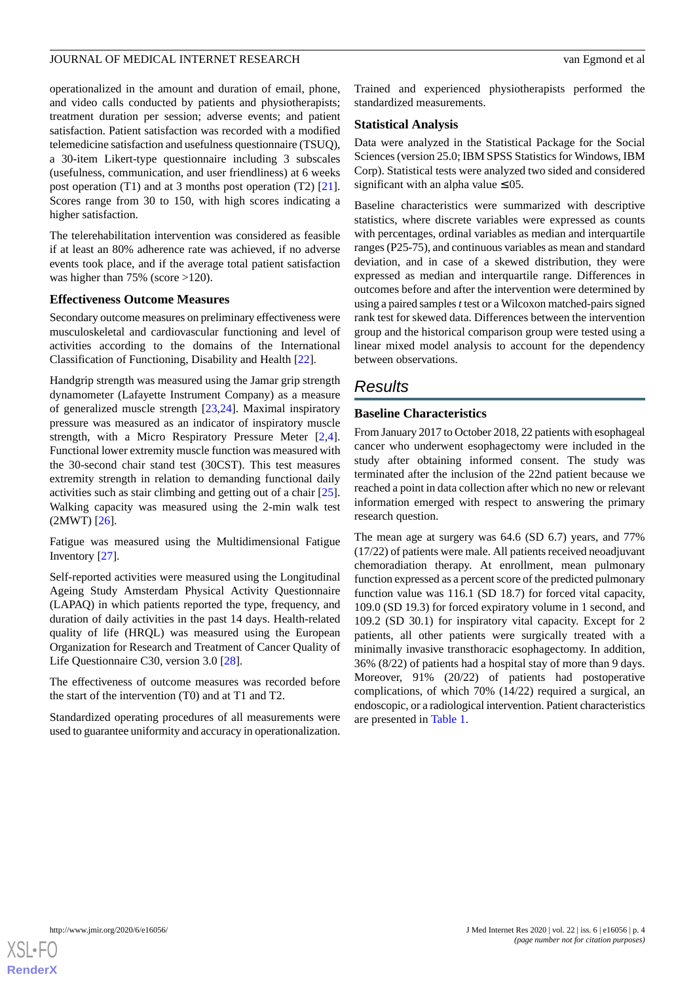operationalized in the amount and duration of email, phone, and video calls conducted by patients and physiotherapists; treatment duration per session; adverse events; and patient satisfaction. Patient satisfaction was recorded with a modified telemedicine satisfaction and usefulness questionnaire (TSUQ), a 30-item Likert-type questionnaire including 3 subscales (usefulness, communication, and user friendliness) at 6 weeks post operation (T1) and at 3 months post operation (T2) [[21\]](#page-11-16). Scores range from 30 to 150, with high scores indicating a higher satisfaction.

The telerehabilitation intervention was considered as feasible if at least an 80% adherence rate was achieved, if no adverse events took place, and if the average total patient satisfaction was higher than 75% (score >120).

#### **Effectiveness Outcome Measures**

Secondary outcome measures on preliminary effectiveness were musculoskeletal and cardiovascular functioning and level of activities according to the domains of the International Classification of Functioning, Disability and Health [\[22](#page-11-17)].

Handgrip strength was measured using the Jamar grip strength dynamometer (Lafayette Instrument Company) as a measure of generalized muscle strength [\[23](#page-11-18),[24\]](#page-11-19). Maximal inspiratory pressure was measured as an indicator of inspiratory muscle strength, with a Micro Respiratory Pressure Meter [\[2](#page-10-1),[4\]](#page-10-3). Functional lower extremity muscle function was measured with the 30-second chair stand test (30CST). This test measures extremity strength in relation to demanding functional daily activities such as stair climbing and getting out of a chair [[25\]](#page-12-0). Walking capacity was measured using the 2-min walk test (2MWT) [\[26](#page-12-1)].

Fatigue was measured using the Multidimensional Fatigue Inventory [[27\]](#page-12-2).

Self-reported activities were measured using the Longitudinal Ageing Study Amsterdam Physical Activity Questionnaire (LAPAQ) in which patients reported the type, frequency, and duration of daily activities in the past 14 days. Health-related quality of life (HRQL) was measured using the European Organization for Research and Treatment of Cancer Quality of Life Questionnaire C30, version 3.0 [\[28](#page-12-3)].

The effectiveness of outcome measures was recorded before the start of the intervention (T0) and at T1 and T2.

Standardized operating procedures of all measurements were used to guarantee uniformity and accuracy in operationalization.

Trained and experienced physiotherapists performed the standardized measurements.

## **Statistical Analysis**

Data were analyzed in the Statistical Package for the Social Sciences (version 25.0; IBM SPSS Statistics for Windows, IBM Corp). Statistical tests were analyzed two sided and considered significant with an alpha value ≤.05.

Baseline characteristics were summarized with descriptive statistics, where discrete variables were expressed as counts with percentages, ordinal variables as median and interquartile ranges (P25-75), and continuous variables as mean and standard deviation, and in case of a skewed distribution, they were expressed as median and interquartile range. Differences in outcomes before and after the intervention were determined by using a paired samples *t*test or a Wilcoxon matched-pairs signed rank test for skewed data. Differences between the intervention group and the historical comparison group were tested using a linear mixed model analysis to account for the dependency between observations.

## *Results*

## **Baseline Characteristics**

From January 2017 to October 2018, 22 patients with esophageal cancer who underwent esophagectomy were included in the study after obtaining informed consent. The study was terminated after the inclusion of the 22nd patient because we reached a point in data collection after which no new or relevant information emerged with respect to answering the primary research question.

The mean age at surgery was 64.6 (SD 6.7) years, and 77% (17/22) of patients were male. All patients received neoadjuvant chemoradiation therapy. At enrollment, mean pulmonary function expressed as a percent score of the predicted pulmonary function value was 116.1 (SD 18.7) for forced vital capacity, 109.0 (SD 19.3) for forced expiratory volume in 1 second, and 109.2 (SD 30.1) for inspiratory vital capacity. Except for 2 patients, all other patients were surgically treated with a minimally invasive transthoracic esophagectomy. In addition, 36% (8/22) of patients had a hospital stay of more than 9 days. Moreover, 91% (20/22) of patients had postoperative complications, of which 70% (14/22) required a surgical, an endoscopic, or a radiological intervention. Patient characteristics are presented in [Table 1.](#page-5-0)

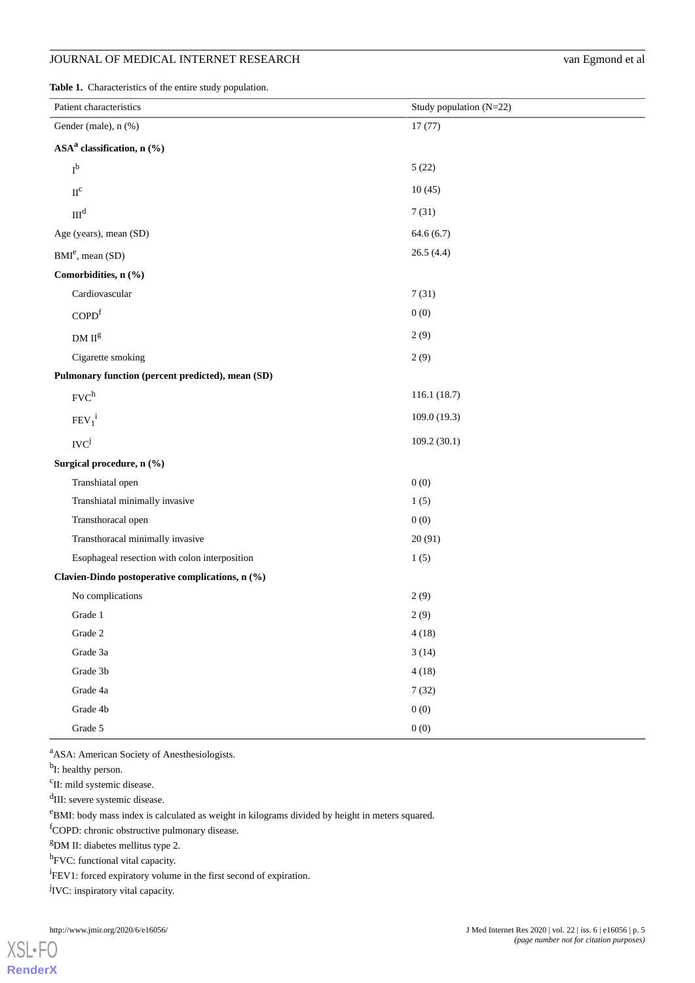<span id="page-5-0"></span>**Table 1.** Characteristics of the entire study population.

| Patient characteristics                           | Study population (N=22) |
|---------------------------------------------------|-------------------------|
| Gender (male), n (%)                              | 17(77)                  |
| ASA <sup>a</sup> classification, n (%)            |                         |
|                                                   |                         |
| I <sub>p</sub>                                    | 5(22)                   |
| $\operatorname{II}^\mathrm{c}$                    | 10(45)                  |
| III <sup>d</sup>                                  | 7(31)                   |
| Age (years), mean (SD)                            | 64.6(6.7)               |
| BMI <sup>e</sup> , mean (SD)                      | 26.5(4.4)               |
| Comorbidities, n (%)                              |                         |
| Cardiovascular                                    | 7(31)                   |
| COPD <sup>f</sup>                                 | 0(0)                    |
| ${\rm DM \ II^g}$                                 | 2(9)                    |
| Cigarette smoking                                 | 2(9)                    |
| Pulmonary function (percent predicted), mean (SD) |                         |
| $FVC^h$                                           | 116.1 (18.7)            |
| $FEV_1^i$                                         | 109.0(19.3)             |
| $IVC^j$                                           | 109.2(30.1)             |
| Surgical procedure, n (%)                         |                         |
| Transhiatal open                                  | 0(0)                    |
| Transhiatal minimally invasive                    | 1(5)                    |
| Transthoracal open                                | 0(0)                    |
| Transthoracal minimally invasive                  | 20(91)                  |
| Esophageal resection with colon interposition     | 1(5)                    |
| Clavien-Dindo postoperative complications, n (%)  |                         |
| No complications                                  | 2(9)                    |
| Grade 1                                           | 2(9)                    |
| Grade 2                                           | 4(18)                   |
| Grade 3a                                          | 3(14)                   |
| Grade 3b                                          | 4(18)                   |
| Grade 4a                                          | 7(32)                   |
| Grade 4b                                          | 0(0)                    |
| Grade 5                                           | 0(0)                    |

<sup>a</sup>ASA: American Society of Anesthesiologists.

<sup>b</sup>I: healthy person.

<sup>c</sup>II: mild systemic disease.

<sup>d</sup>III: severe systemic disease.

<sup>e</sup>BMI: body mass index is calculated as weight in kilograms divided by height in meters squared.

fCOPD: chronic obstructive pulmonary disease.

<sup>g</sup>DM II: diabetes mellitus type 2.

<sup>h</sup>FVC: functional vital capacity.

<sup>i</sup>FEV1: forced expiratory volume in the first second of expiration.

<sup>j</sup>IVC: inspiratory vital capacity.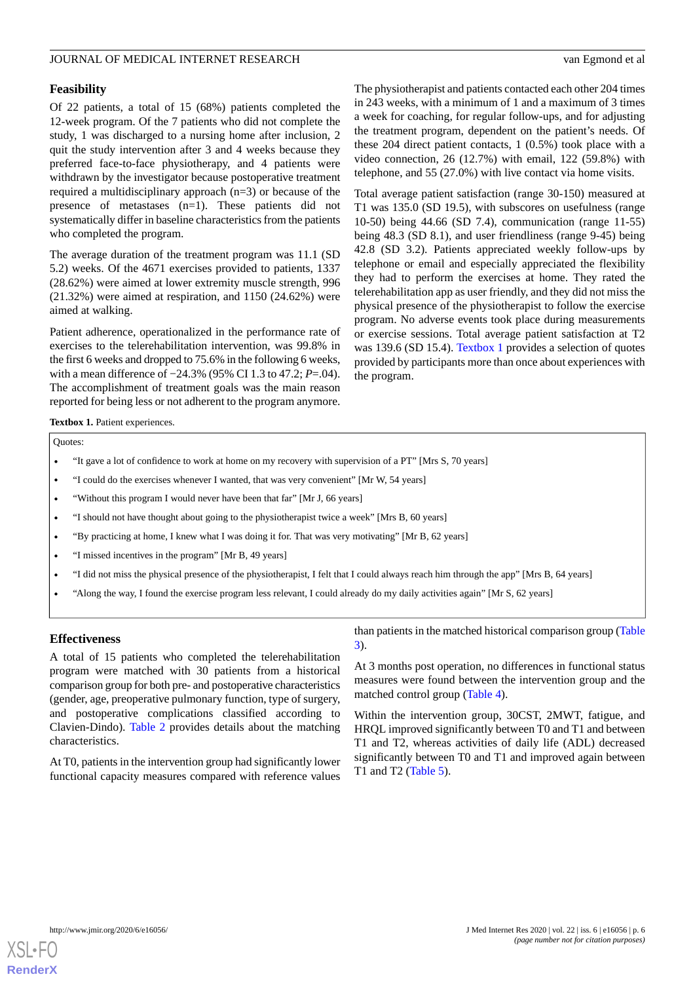## **Feasibility**

Of 22 patients, a total of 15 (68%) patients completed the 12-week program. Of the 7 patients who did not complete the study, 1 was discharged to a nursing home after inclusion, 2 quit the study intervention after 3 and 4 weeks because they preferred face-to-face physiotherapy, and 4 patients were withdrawn by the investigator because postoperative treatment required a multidisciplinary approach (n=3) or because of the presence of metastases (n=1). These patients did not systematically differ in baseline characteristics from the patients who completed the program.

The average duration of the treatment program was 11.1 (SD 5.2) weeks. Of the 4671 exercises provided to patients, 1337 (28.62%) were aimed at lower extremity muscle strength, 996 (21.32%) were aimed at respiration, and 1150 (24.62%) were aimed at walking.

Patient adherence, operationalized in the performance rate of exercises to the telerehabilitation intervention, was 99.8% in the first 6 weeks and dropped to 75.6% in the following 6 weeks, with a mean difference of −24.3% (95% CI 1.3 to 47.2; *P*=.04). The accomplishment of treatment goals was the main reason reported for being less or not adherent to the program anymore.

The physiotherapist and patients contacted each other 204 times in 243 weeks, with a minimum of 1 and a maximum of 3 times a week for coaching, for regular follow-ups, and for adjusting the treatment program, dependent on the patient's needs. Of these 204 direct patient contacts, 1 (0.5%) took place with a video connection, 26 (12.7%) with email, 122 (59.8%) with telephone, and 55 (27.0%) with live contact via home visits.

Total average patient satisfaction (range 30-150) measured at T1 was 135.0 (SD 19.5), with subscores on usefulness (range 10-50) being 44.66 (SD 7.4), communication (range 11-55) being 48.3 (SD 8.1), and user friendliness (range 9-45) being 42.8 (SD 3.2). Patients appreciated weekly follow-ups by telephone or email and especially appreciated the flexibility they had to perform the exercises at home. They rated the telerehabilitation app as user friendly, and they did not miss the physical presence of the physiotherapist to follow the exercise program. No adverse events took place during measurements or exercise sessions. Total average patient satisfaction at T2 was 139.6 (SD 15.4). [Textbox 1](#page-6-0) provides a selection of quotes provided by participants more than once about experiences with the program.

<span id="page-6-0"></span>Textbox 1. Patient experiences.

Quotes:

#### • "It gave a lot of confidence to work at home on my recovery with supervision of a PT" [Mrs S, 70 years]

- "I could do the exercises whenever I wanted, that was very convenient" [Mr W, 54 years]
- "Without this program I would never have been that far"  $[Mr J, 66 \text{ years}]$
- "I should not have thought about going to the physiotherapist twice a week" [Mrs B, 60 years]
- "By practicing at home, I knew what I was doing it for. That was very motivating" [Mr B, 62 years]
- "I missed incentives in the program" [Mr B, 49 years]
- "I did not miss the physical presence of the physiotherapist, I felt that I could always reach him through the app" [Mrs B, 64 years]
- "Along the way, I found the exercise program less relevant, I could already do my daily activities again" [Mr S, 62 years]

## **Effectiveness**

A total of 15 patients who completed the telerehabilitation program were matched with 30 patients from a historical comparison group for both pre- and postoperative characteristics (gender, age, preoperative pulmonary function, type of surgery, and postoperative complications classified according to Clavien-Dindo). [Table 2](#page-7-0) provides details about the matching characteristics.

At T0, patients in the intervention group had significantly lower functional capacity measures compared with reference values

than patients in the matched historical comparison group ([Table](#page-8-0) [3\)](#page-8-0).

At 3 months post operation, no differences in functional status measures were found between the intervention group and the matched control group [\(Table 4\)](#page-8-1).

Within the intervention group, 30CST, 2MWT, fatigue, and HRQL improved significantly between T0 and T1 and between T1 and T2, whereas activities of daily life (ADL) decreased significantly between T0 and T1 and improved again between T1 and T2 [\(Table 5\)](#page-9-0).

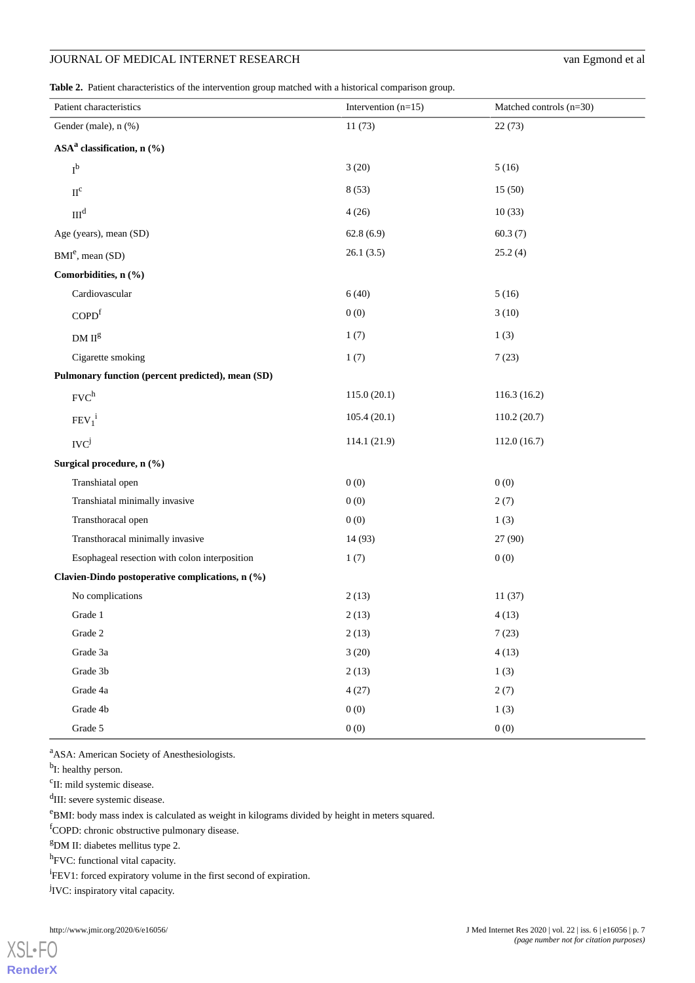<span id="page-7-0"></span>**Table 2.** Patient characteristics of the intervention group matched with a historical comparison group.

| Patient characteristics                           | Intervention $(n=15)$ | Matched controls $(n=30)$ |
|---------------------------------------------------|-----------------------|---------------------------|
| Gender (male), n (%)                              | 11(73)                | 22(73)                    |
| $ASAa$ classification, n $(\% )$                  |                       |                           |
| $\mathbf{I}^{\text{b}}$                           | 3(20)                 | 5(16)                     |
| $\operatorname{II}^\mathrm{c}$                    | 8(53)                 | 15(50)                    |
| III <sup>d</sup>                                  | 4(26)                 | 10(33)                    |
| Age (years), mean (SD)                            | 62.8(6.9)             | 60.3(7)                   |
| $BMIe$ , mean (SD)                                | 26.1(3.5)             | 25.2(4)                   |
| Comorbidities, n (%)                              |                       |                           |
| Cardiovascular                                    | 6(40)                 | 5(16)                     |
| COPD <sup>f</sup>                                 | 0(0)                  | 3(10)                     |
| ${\rm DM\ II}^{\rm g}$                            | 1(7)                  | 1(3)                      |
| Cigarette smoking                                 | 1(7)                  | 7(23)                     |
| Pulmonary function (percent predicted), mean (SD) |                       |                           |
| $FVC^h$                                           | 115.0(20.1)           | 116.3(16.2)               |
| $FEV_1^i$                                         | 105.4(20.1)           | 110.2(20.7)               |
| $IVC^j$                                           | 114.1 (21.9)          | 112.0(16.7)               |
| Surgical procedure, n (%)                         |                       |                           |
| Transhiatal open                                  | 0(0)                  | 0(0)                      |
| Transhiatal minimally invasive                    | 0(0)                  | 2(7)                      |
| Transthoracal open                                | 0(0)                  | 1(3)                      |
| Transthoracal minimally invasive                  | 14 (93)               | 27 (90)                   |
| Esophageal resection with colon interposition     | 1(7)                  | 0(0)                      |
| Clavien-Dindo postoperative complications, n (%)  |                       |                           |
| No complications                                  | 2(13)                 | 11(37)                    |
| Grade 1                                           | 2(13)                 | 4(13)                     |
| Grade 2                                           | 2(13)                 | 7(23)                     |
| Grade 3a                                          | 3(20)                 | 4(13)                     |
| Grade 3b                                          | 2(13)                 | 1(3)                      |
| Grade 4a                                          | 4(27)                 | 2(7)                      |
| Grade 4b                                          | 0(0)                  | 1(3)                      |
| Grade 5                                           | 0(0)                  | 0(0)                      |

<sup>a</sup>ASA: American Society of Anesthesiologists.

<sup>b</sup>I: healthy person.

<sup>c</sup>II: mild systemic disease.

<sup>d</sup>III: severe systemic disease.

<sup>e</sup>BMI: body mass index is calculated as weight in kilograms divided by height in meters squared.

fCOPD: chronic obstructive pulmonary disease.

<sup>g</sup>DM II: diabetes mellitus type 2.

<sup>h</sup>FVC: functional vital capacity.

<sup>i</sup>FEV1: forced expiratory volume in the first second of expiration.

<sup>j</sup>IVC: inspiratory vital capacity.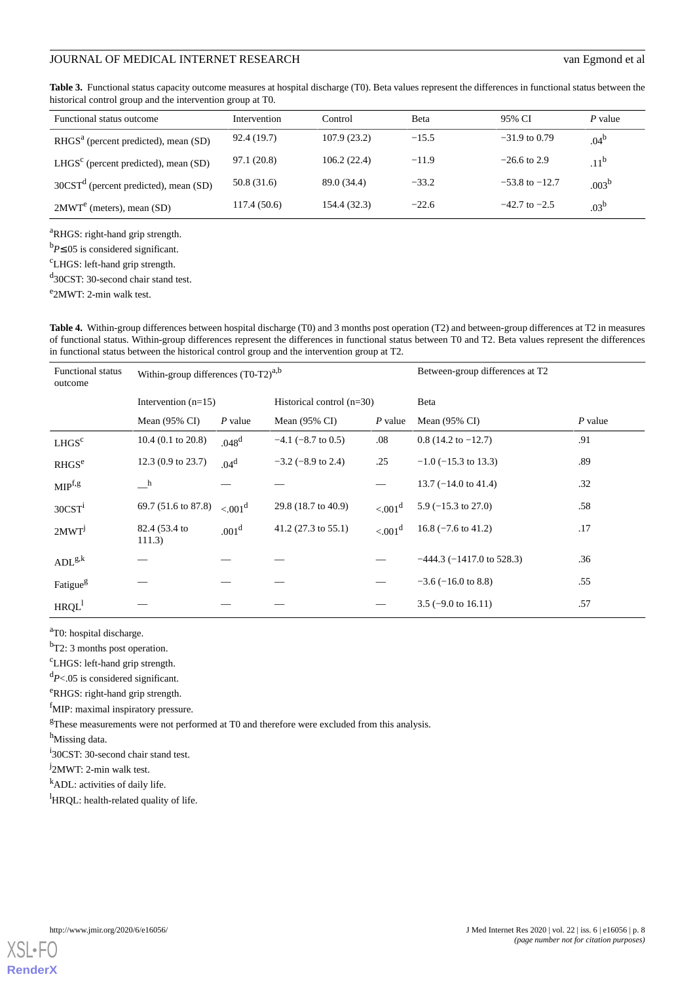<span id="page-8-0"></span>**Table 3.** Functional status capacity outcome measures at hospital discharge (T0). Beta values represent the differences in functional status between the historical control group and the intervention group at T0.

| Functional status outcome               | Intervention | Control      | <b>B</b> eta | 95% CI             | P value           |
|-----------------------------------------|--------------|--------------|--------------|--------------------|-------------------|
| $RHGSa$ (percent predicted), mean (SD)  | 92.4(19.7)   | 107.9(23.2)  | $-15.5$      | $-31.9$ to 0.79    | $.04^{b}$         |
| $LHGSc$ (percent predicted), mean (SD)  | 97.1 (20.8)  | 106.2(22.4)  | $-11.9$      | $-26.6$ to 2.9     | 11 <sup>b</sup>   |
| $30CSTd$ (percent predicted), mean (SD) | 50.8 (31.6)  | 89.0 (34.4)  | $-33.2$      | $-53.8$ to $-12.7$ | .003 <sup>b</sup> |
| $2MWTe$ (meters), mean (SD)             | 117.4(50.6)  | 154.4 (32.3) | $-22.6$      | $-42.7$ to $-2.5$  | $.03^{b}$         |

<sup>a</sup>RHGS: right-hand grip strength.

<sup>b</sup>P≤.05 is considered significant.

<sup>c</sup>LHGS: left-hand grip strength.

<sup>d</sup>30CST: 30-second chair stand test.

<span id="page-8-1"></span><sup>e</sup>2MWT: 2-min walk test.

**Table 4.** Within-group differences between hospital discharge (T0) and 3 months post operation (T2) and between-group differences at T2 in measures of functional status. Within-group differences represent the differences in functional status between T0 and T2. Beta values represent the differences in functional status between the historical control group and the intervention group at T2.

| <b>Functional status</b><br>outcome | Within-group differences $(T0-T2)^{a,b}$ |                     |                                |                          | Between-group differences at T2 |           |
|-------------------------------------|------------------------------------------|---------------------|--------------------------------|--------------------------|---------------------------------|-----------|
|                                     | Intervention $(n=15)$                    |                     | Historical control $(n=30)$    |                          | Beta                            |           |
|                                     | Mean $(95\% \text{ CI})$                 | $P$ value           | Mean $(95\% \text{ CI})$       | $P$ value                | Mean $(95\% \text{ CI})$        | $P$ value |
| LHGS <sup>c</sup>                   | $10.4$ (0.1 to 20.8)                     | .048 <sup>d</sup>   | $-4.1$ ( $-8.7$ to 0.5)        | .08                      | $0.8$ (14.2 to $-12.7$ )        | .91       |
| RHGS <sup>e</sup>                   | $12.3(0.9 \text{ to } 23.7)$             | .04 <sup>d</sup>    | $-3.2$ ( $-8.9$ to 2.4)        | .25                      | $-1.0$ ( $-15.3$ to 13.3)       | .89       |
| MIP <sup>f,g</sup>                  | $\mathbf{h}$                             |                     |                                | $\overline{\phantom{0}}$ | $13.7 (-14.0 \text{ to } 41.4)$ | .32       |
| 30 <sup>2</sup>                     | 69.7 (51.6 to 87.8)                      | < 0.01 <sup>d</sup> | 29.8 (18.7 to 40.9)            | < 0.01 <sup>d</sup>      | $5.9$ (-15.3 to 27.0)           | .58       |
| 2MWT <sup>J</sup>                   | 82.4 (53.4 to<br>111.3)                  | .001 <sup>d</sup>   | 41.2 $(27.3 \text{ to } 55.1)$ | < 0.01 <sup>d</sup>      | $16.8$ ( $-7.6$ to 41.2)        | .17       |
| $ADL^{g,k}$                         |                                          |                     |                                |                          | $-444.3$ ( $-1417.0$ to 528.3)  | .36       |
| Fatigue <sup>g</sup>                |                                          |                     |                                |                          | $-3.6$ ( $-16.0$ to 8.8)        | .55       |
| $HRQL$ <sup>1</sup>                 |                                          |                     |                                |                          | $3.5$ (-9.0 to 16.11)           | .57       |

<sup>a</sup>T0: hospital discharge.

<sup>b</sup>T2: 3 months post operation.

<sup>c</sup>LHGS: left-hand grip strength.

<sup>d</sup>P<.05 is considered significant.

<sup>e</sup>RHGS: right-hand grip strength.

<sup>f</sup>MIP: maximal inspiratory pressure.

<sup>g</sup>These measurements were not performed at T0 and therefore were excluded from this analysis.

h<sub>Missing data.</sub>

<sup>i</sup>30CST: 30-second chair stand test.

<sup>j</sup>2MWT: 2-min walk test.

<sup>k</sup>ADL: activities of daily life.

 ${}^{1}$ HRQL: health-related quality of life.

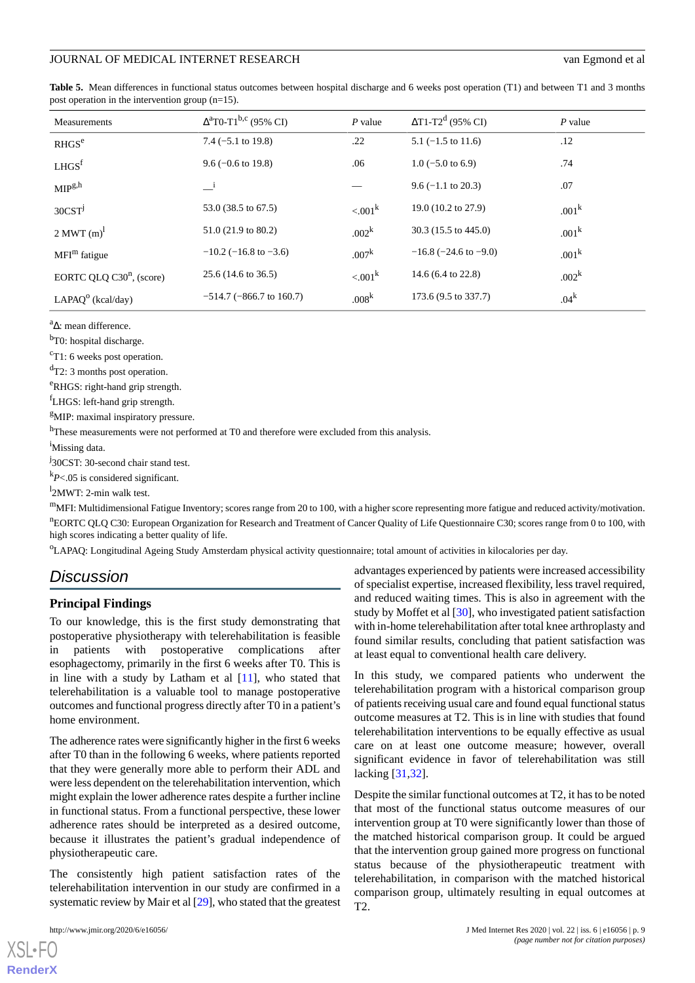<span id="page-9-0"></span>**Table 5.** Mean differences in functional status outcomes between hospital discharge and 6 weeks post operation (T1) and between T1 and 3 months post operation in the intervention group (n=15).

| Measurements                  | $\Delta^{a}$ T0-T1 <sup>b,c</sup> (95% CI) | $P$ value         | $\Delta T1 - T2^d$ (95% CI)    | $P$ value         |
|-------------------------------|--------------------------------------------|-------------------|--------------------------------|-------------------|
| RHGS <sup>e</sup>             | $7.4$ ( $-5.1$ to 19.8)                    | .22               | $5.1$ (-1.5 to 11.6)           | .12               |
| LHGS <sup>f</sup>             | $9.6 (-0.6 \text{ to } 19.8)$              | .06               | $1.0$ (-5.0 to 6.9)            | .74               |
| MIP <sup>g,h</sup>            | $\overline{\phantom{a}}^i$                 |                   | $9.6 (-1.1 \text{ to } 20.3)$  | .07               |
| 30 <sub>CST</sub>             | 53.0 (38.5 to 67.5)                        | $< 0.01^k$        | 19.0 $(10.2 \text{ to } 27.9)$ | .001 <sup>k</sup> |
| $2$ MWT $(m)^{1}$             | $51.0(21.9 \text{ to } 80.2)$              | .002 <sup>k</sup> | 30.3 (15.5 to 445.0)           | .001 <sup>k</sup> |
| $MFIm$ fatigue                | $-10.2$ ( $-16.8$ to $-3.6$ )              | $.007^{k}$        | $-16.8$ ( $-24.6$ to $-9.0$ )  | .001 <sup>k</sup> |
| EORTC QLQ $C30n$ , (score)    | $25.6(14.6 \text{ to } 36.5)$              | $< 0.01^k$        | 14.6 $(6.4 \text{ to } 22.8)$  | .002 <sup>k</sup> |
| LAPAQ <sup>o</sup> (kcal/day) | $-514.7$ ( $-866.7$ to 160.7)              | .008 <sup>k</sup> | 173.6 (9.5 to 337.7)           | $.04^k$           |

<sup>a</sup>Λ: mean difference.

<sup>b</sup>T0: hospital discharge.

<sup>c</sup>T1: 6 weeks post operation.

 $d_{\text{T2}:}$  3 months post operation.

<sup>e</sup>RHGS: right-hand grip strength.

<sup>f</sup>LHGS: left-hand grip strength.

<sup>g</sup>MIP: maximal inspiratory pressure.

hThese measurements were not performed at T0 and therefore were excluded from this analysis.

<sup>i</sup>Missing data.

<sup>j</sup>30CST: 30-second chair stand test.

 $k_{P<.05}$  is considered significant.

<sup>1</sup>2MWT: 2-min walk test.

 $<sup>m</sup>$ MFI: Multidimensional Fatigue Inventory; scores range from 20 to 100, with a higher score representing more fatigue and reduced activity/motivation.</sup> <sup>n</sup>EORTC QLQ C30: European Organization for Research and Treatment of Cancer Quality of Life Questionnaire C30; scores range from 0 to 100, with high scores indicating a better quality of life.

<sup>o</sup>LAPAQ: Longitudinal Ageing Study Amsterdam physical activity questionnaire; total amount of activities in kilocalories per day.

## *Discussion*

## **Principal Findings**

To our knowledge, this is the first study demonstrating that postoperative physiotherapy with telerehabilitation is feasible in patients with postoperative complications after esophagectomy, primarily in the first 6 weeks after T0. This is in line with a study by Latham et al [\[11](#page-11-6)], who stated that telerehabilitation is a valuable tool to manage postoperative outcomes and functional progress directly after T0 in a patient's home environment.

The adherence rates were significantly higher in the first 6 weeks after T0 than in the following 6 weeks, where patients reported that they were generally more able to perform their ADL and were less dependent on the telerehabilitation intervention, which might explain the lower adherence rates despite a further incline in functional status. From a functional perspective, these lower adherence rates should be interpreted as a desired outcome, because it illustrates the patient's gradual independence of physiotherapeutic care.

The consistently high patient satisfaction rates of the telerehabilitation intervention in our study are confirmed in a systematic review by Mair et al [[29\]](#page-12-4), who stated that the greatest

[XSL](http://www.w3.org/Style/XSL)•FO **[RenderX](http://www.renderx.com/)**

advantages experienced by patients were increased accessibility of specialist expertise, increased flexibility, less travel required, and reduced waiting times. This is also in agreement with the study by Moffet et al [[30\]](#page-12-5), who investigated patient satisfaction with in-home telerehabilitation after total knee arthroplasty and found similar results, concluding that patient satisfaction was at least equal to conventional health care delivery.

In this study, we compared patients who underwent the telerehabilitation program with a historical comparison group of patients receiving usual care and found equal functional status outcome measures at T2. This is in line with studies that found telerehabilitation interventions to be equally effective as usual care on at least one outcome measure; however, overall significant evidence in favor of telerehabilitation was still lacking [[31](#page-12-6)[,32](#page-12-7)].

Despite the similar functional outcomes at T2, it has to be noted that most of the functional status outcome measures of our intervention group at T0 were significantly lower than those of the matched historical comparison group. It could be argued that the intervention group gained more progress on functional status because of the physiotherapeutic treatment with telerehabilitation, in comparison with the matched historical comparison group, ultimately resulting in equal outcomes at T2.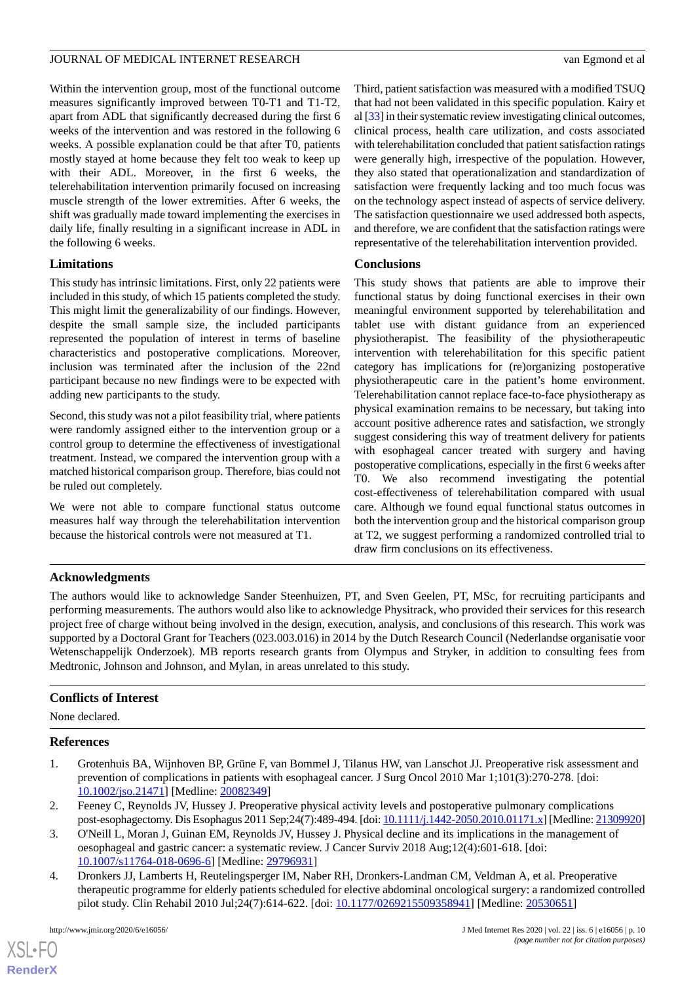Within the intervention group, most of the functional outcome measures significantly improved between T0-T1 and T1-T2, apart from ADL that significantly decreased during the first 6 weeks of the intervention and was restored in the following 6 weeks. A possible explanation could be that after T0, patients mostly stayed at home because they felt too weak to keep up with their ADL. Moreover, in the first 6 weeks, the telerehabilitation intervention primarily focused on increasing muscle strength of the lower extremities. After 6 weeks, the shift was gradually made toward implementing the exercises in daily life, finally resulting in a significant increase in ADL in the following 6 weeks.

## **Limitations**

This study has intrinsic limitations. First, only 22 patients were included in this study, of which 15 patients completed the study. This might limit the generalizability of our findings. However, despite the small sample size, the included participants represented the population of interest in terms of baseline characteristics and postoperative complications. Moreover, inclusion was terminated after the inclusion of the 22nd participant because no new findings were to be expected with adding new participants to the study.

Second, this study was not a pilot feasibility trial, where patients were randomly assigned either to the intervention group or a control group to determine the effectiveness of investigational treatment. Instead, we compared the intervention group with a matched historical comparison group. Therefore, bias could not be ruled out completely.

We were not able to compare functional status outcome measures half way through the telerehabilitation intervention because the historical controls were not measured at T1.

Third, patient satisfaction was measured with a modified TSUQ that had not been validated in this specific population. Kairy et al [[33\]](#page-12-8) in their systematic review investigating clinical outcomes, clinical process, health care utilization, and costs associated with telerehabilitation concluded that patient satisfaction ratings were generally high, irrespective of the population. However, they also stated that operationalization and standardization of satisfaction were frequently lacking and too much focus was on the technology aspect instead of aspects of service delivery. The satisfaction questionnaire we used addressed both aspects, and therefore, we are confident that the satisfaction ratings were representative of the telerehabilitation intervention provided.

## **Conclusions**

This study shows that patients are able to improve their functional status by doing functional exercises in their own meaningful environment supported by telerehabilitation and tablet use with distant guidance from an experienced physiotherapist. The feasibility of the physiotherapeutic intervention with telerehabilitation for this specific patient category has implications for (re)organizing postoperative physiotherapeutic care in the patient's home environment. Telerehabilitation cannot replace face-to-face physiotherapy as physical examination remains to be necessary, but taking into account positive adherence rates and satisfaction, we strongly suggest considering this way of treatment delivery for patients with esophageal cancer treated with surgery and having postoperative complications, especially in the first 6 weeks after T0. We also recommend investigating the potential cost-effectiveness of telerehabilitation compared with usual care. Although we found equal functional status outcomes in both the intervention group and the historical comparison group at T2, we suggest performing a randomized controlled trial to draw firm conclusions on its effectiveness.

## **Acknowledgments**

The authors would like to acknowledge Sander Steenhuizen, PT, and Sven Geelen, PT, MSc, for recruiting participants and performing measurements. The authors would also like to acknowledge Physitrack, who provided their services for this research project free of charge without being involved in the design, execution, analysis, and conclusions of this research. This work was supported by a Doctoral Grant for Teachers (023.003.016) in 2014 by the Dutch Research Council (Nederlandse organisatie voor Wetenschappelijk Onderzoek). MB reports research grants from Olympus and Stryker, in addition to consulting fees from Medtronic, Johnson and Johnson, and Mylan, in areas unrelated to this study.

## <span id="page-10-0"></span>**Conflicts of Interest**

<span id="page-10-1"></span>None declared.

## <span id="page-10-2"></span>**References**

- 1. Grotenhuis BA, Wijnhoven BP, Grüne F, van Bommel J, Tilanus HW, van Lanschot JJ. Preoperative risk assessment and prevention of complications in patients with esophageal cancer. J Surg Oncol 2010 Mar 1;101(3):270-278. [doi: [10.1002/jso.21471\]](http://dx.doi.org/10.1002/jso.21471) [Medline: [20082349\]](http://www.ncbi.nlm.nih.gov/entrez/query.fcgi?cmd=Retrieve&db=PubMed&list_uids=20082349&dopt=Abstract)
- <span id="page-10-3"></span>2. Feeney C, Reynolds JV, Hussey J. Preoperative physical activity levels and postoperative pulmonary complications post-esophagectomy. Dis Esophagus 2011 Sep;24(7):489-494. [doi: [10.1111/j.1442-2050.2010.01171.x](http://dx.doi.org/10.1111/j.1442-2050.2010.01171.x)] [Medline: [21309920\]](http://www.ncbi.nlm.nih.gov/entrez/query.fcgi?cmd=Retrieve&db=PubMed&list_uids=21309920&dopt=Abstract)
- 3. O'Neill L, Moran J, Guinan EM, Reynolds JV, Hussey J. Physical decline and its implications in the management of oesophageal and gastric cancer: a systematic review. J Cancer Surviv 2018 Aug;12(4):601-618. [doi: [10.1007/s11764-018-0696-6\]](http://dx.doi.org/10.1007/s11764-018-0696-6) [Medline: [29796931](http://www.ncbi.nlm.nih.gov/entrez/query.fcgi?cmd=Retrieve&db=PubMed&list_uids=29796931&dopt=Abstract)]
- 4. Dronkers JJ, Lamberts H, Reutelingsperger IM, Naber RH, Dronkers-Landman CM, Veldman A, et al. Preoperative therapeutic programme for elderly patients scheduled for elective abdominal oncological surgery: a randomized controlled pilot study. Clin Rehabil 2010 Jul;24(7):614-622. [doi: [10.1177/0269215509358941](http://dx.doi.org/10.1177/0269215509358941)] [Medline: [20530651\]](http://www.ncbi.nlm.nih.gov/entrez/query.fcgi?cmd=Retrieve&db=PubMed&list_uids=20530651&dopt=Abstract)

 $XS$ -FO **[RenderX](http://www.renderx.com/)**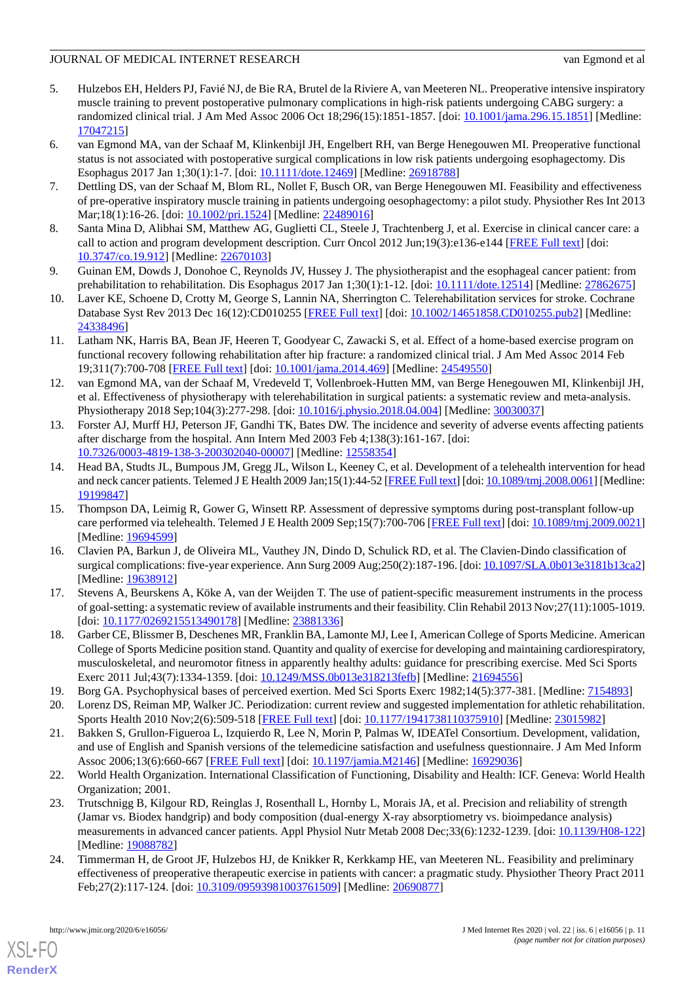- <span id="page-11-0"></span>5. Hulzebos EH, Helders PJ, Favié NJ, de Bie RA, Brutel de la Riviere A, van Meeteren NL. Preoperative intensive inspiratory muscle training to prevent postoperative pulmonary complications in high-risk patients undergoing CABG surgery: a randomized clinical trial. J Am Med Assoc 2006 Oct 18;296(15):1851-1857. [doi: [10.1001/jama.296.15.1851](http://dx.doi.org/10.1001/jama.296.15.1851)] [Medline: [17047215](http://www.ncbi.nlm.nih.gov/entrez/query.fcgi?cmd=Retrieve&db=PubMed&list_uids=17047215&dopt=Abstract)]
- <span id="page-11-1"></span>6. van Egmond MA, van der Schaaf M, Klinkenbijl JH, Engelbert RH, van Berge Henegouwen MI. Preoperative functional status is not associated with postoperative surgical complications in low risk patients undergoing esophagectomy. Dis Esophagus 2017 Jan 1;30(1):1-7. [doi: [10.1111/dote.12469\]](http://dx.doi.org/10.1111/dote.12469) [Medline: [26918788](http://www.ncbi.nlm.nih.gov/entrez/query.fcgi?cmd=Retrieve&db=PubMed&list_uids=26918788&dopt=Abstract)]
- <span id="page-11-3"></span><span id="page-11-2"></span>7. Dettling DS, van der Schaaf M, Blom RL, Nollet F, Busch OR, van Berge Henegouwen MI. Feasibility and effectiveness of pre-operative inspiratory muscle training in patients undergoing oesophagectomy: a pilot study. Physiother Res Int 2013 Mar;18(1):16-26. [doi: [10.1002/pri.1524](http://dx.doi.org/10.1002/pri.1524)] [Medline: [22489016\]](http://www.ncbi.nlm.nih.gov/entrez/query.fcgi?cmd=Retrieve&db=PubMed&list_uids=22489016&dopt=Abstract)
- <span id="page-11-4"></span>8. Santa Mina D, Alibhai SM, Matthew AG, Guglietti CL, Steele J, Trachtenberg J, et al. Exercise in clinical cancer care: a call to action and program development description. Curr Oncol 2012 Jun;19(3):e136-e144 [[FREE Full text](http://www.current-oncology.com/index.php/oncology/article/view/912/876)] [doi: [10.3747/co.19.912](http://dx.doi.org/10.3747/co.19.912)] [Medline: [22670103](http://www.ncbi.nlm.nih.gov/entrez/query.fcgi?cmd=Retrieve&db=PubMed&list_uids=22670103&dopt=Abstract)]
- <span id="page-11-5"></span>9. Guinan EM, Dowds J, Donohoe C, Reynolds JV, Hussey J. The physiotherapist and the esophageal cancer patient: from prehabilitation to rehabilitation. Dis Esophagus 2017 Jan 1;30(1):1-12. [doi: [10.1111/dote.12514\]](http://dx.doi.org/10.1111/dote.12514) [Medline: [27862675](http://www.ncbi.nlm.nih.gov/entrez/query.fcgi?cmd=Retrieve&db=PubMed&list_uids=27862675&dopt=Abstract)]
- <span id="page-11-6"></span>10. Laver KE, Schoene D, Crotty M, George S, Lannin NA, Sherrington C. Telerehabilitation services for stroke. Cochrane Database Syst Rev 2013 Dec 16(12):CD010255 [\[FREE Full text](http://europepmc.org/abstract/MED/24338496)] [doi: [10.1002/14651858.CD010255.pub2\]](http://dx.doi.org/10.1002/14651858.CD010255.pub2) [Medline: [24338496](http://www.ncbi.nlm.nih.gov/entrez/query.fcgi?cmd=Retrieve&db=PubMed&list_uids=24338496&dopt=Abstract)]
- <span id="page-11-7"></span>11. Latham NK, Harris BA, Bean JF, Heeren T, Goodyear C, Zawacki S, et al. Effect of a home-based exercise program on functional recovery following rehabilitation after hip fracture: a randomized clinical trial. J Am Med Assoc 2014 Feb 19;311(7):700-708 [[FREE Full text](http://europepmc.org/abstract/MED/24549550)] [doi: [10.1001/jama.2014.469](http://dx.doi.org/10.1001/jama.2014.469)] [Medline: [24549550](http://www.ncbi.nlm.nih.gov/entrez/query.fcgi?cmd=Retrieve&db=PubMed&list_uids=24549550&dopt=Abstract)]
- <span id="page-11-8"></span>12. van Egmond MA, van der Schaaf M, Vredeveld T, Vollenbroek-Hutten MM, van Berge Henegouwen MI, Klinkenbijl JH, et al. Effectiveness of physiotherapy with telerehabilitation in surgical patients: a systematic review and meta-analysis. Physiotherapy 2018 Sep;104(3):277-298. [doi: [10.1016/j.physio.2018.04.004](http://dx.doi.org/10.1016/j.physio.2018.04.004)] [Medline: [30030037\]](http://www.ncbi.nlm.nih.gov/entrez/query.fcgi?cmd=Retrieve&db=PubMed&list_uids=30030037&dopt=Abstract)
- <span id="page-11-9"></span>13. Forster AJ, Murff HJ, Peterson JF, Gandhi TK, Bates DW. The incidence and severity of adverse events affecting patients after discharge from the hospital. Ann Intern Med 2003 Feb 4;138(3):161-167. [doi: [10.7326/0003-4819-138-3-200302040-00007](http://dx.doi.org/10.7326/0003-4819-138-3-200302040-00007)] [Medline: [12558354](http://www.ncbi.nlm.nih.gov/entrez/query.fcgi?cmd=Retrieve&db=PubMed&list_uids=12558354&dopt=Abstract)]
- <span id="page-11-10"></span>14. Head BA, Studts JL, Bumpous JM, Gregg JL, Wilson L, Keeney C, et al. Development of a telehealth intervention for head and neck cancer patients. Telemed J E Health 2009 Jan;15(1):44-52 [[FREE Full text](http://europepmc.org/abstract/MED/19199847)] [doi: [10.1089/tmj.2008.0061\]](http://dx.doi.org/10.1089/tmj.2008.0061) [Medline: [19199847](http://www.ncbi.nlm.nih.gov/entrez/query.fcgi?cmd=Retrieve&db=PubMed&list_uids=19199847&dopt=Abstract)]
- <span id="page-11-11"></span>15. Thompson DA, Leimig R, Gower G, Winsett RP. Assessment of depressive symptoms during post-transplant follow-up care performed via telehealth. Telemed J E Health 2009 Sep;15(7):700-706 [[FREE Full text](http://europepmc.org/abstract/MED/19694599)] [doi: [10.1089/tmj.2009.0021](http://dx.doi.org/10.1089/tmj.2009.0021)] [Medline: [19694599](http://www.ncbi.nlm.nih.gov/entrez/query.fcgi?cmd=Retrieve&db=PubMed&list_uids=19694599&dopt=Abstract)]
- <span id="page-11-12"></span>16. Clavien PA, Barkun J, de Oliveira ML, Vauthey JN, Dindo D, Schulick RD, et al. The Clavien-Dindo classification of surgical complications: five-year experience. Ann Surg 2009 Aug;250(2):187-196. [doi: [10.1097/SLA.0b013e3181b13ca2](http://dx.doi.org/10.1097/SLA.0b013e3181b13ca2)] [Medline: [19638912](http://www.ncbi.nlm.nih.gov/entrez/query.fcgi?cmd=Retrieve&db=PubMed&list_uids=19638912&dopt=Abstract)]
- <span id="page-11-13"></span>17. Stevens A, Beurskens A, Köke A, van der Weijden T. The use of patient-specific measurement instruments in the process of goal-setting: a systematic review of available instruments and their feasibility. Clin Rehabil 2013 Nov;27(11):1005-1019. [doi: [10.1177/0269215513490178](http://dx.doi.org/10.1177/0269215513490178)] [Medline: [23881336\]](http://www.ncbi.nlm.nih.gov/entrez/query.fcgi?cmd=Retrieve&db=PubMed&list_uids=23881336&dopt=Abstract)
- <span id="page-11-16"></span><span id="page-11-15"></span><span id="page-11-14"></span>18. Garber CE, Blissmer B, Deschenes MR, Franklin BA, Lamonte MJ, Lee I, American College of Sports Medicine. American College of Sports Medicine position stand. Quantity and quality of exercise for developing and maintaining cardiorespiratory, musculoskeletal, and neuromotor fitness in apparently healthy adults: guidance for prescribing exercise. Med Sci Sports Exerc 2011 Jul;43(7):1334-1359. [doi: [10.1249/MSS.0b013e318213fefb\]](http://dx.doi.org/10.1249/MSS.0b013e318213fefb) [Medline: [21694556](http://www.ncbi.nlm.nih.gov/entrez/query.fcgi?cmd=Retrieve&db=PubMed&list_uids=21694556&dopt=Abstract)]
- 19. Borg GA. Psychophysical bases of perceived exertion. Med Sci Sports Exerc 1982;14(5):377-381. [Medline: [7154893\]](http://www.ncbi.nlm.nih.gov/entrez/query.fcgi?cmd=Retrieve&db=PubMed&list_uids=7154893&dopt=Abstract)
- <span id="page-11-17"></span>20. Lorenz DS, Reiman MP, Walker JC. Periodization: current review and suggested implementation for athletic rehabilitation. Sports Health 2010 Nov; 2(6): 509-518 [[FREE Full text](http://europepmc.org/abstract/MED/23015982)] [doi: [10.1177/1941738110375910\]](http://dx.doi.org/10.1177/1941738110375910) [Medline: [23015982](http://www.ncbi.nlm.nih.gov/entrez/query.fcgi?cmd=Retrieve&db=PubMed&list_uids=23015982&dopt=Abstract)]
- <span id="page-11-18"></span>21. Bakken S, Grullon-Figueroa L, Izquierdo R, Lee N, Morin P, Palmas W, IDEATel Consortium. Development, validation, and use of English and Spanish versions of the telemedicine satisfaction and usefulness questionnaire. J Am Med Inform Assoc 2006;13(6):660-667 [[FREE Full text](http://europepmc.org/abstract/MED/16929036)] [doi: [10.1197/jamia.M2146](http://dx.doi.org/10.1197/jamia.M2146)] [Medline: [16929036](http://www.ncbi.nlm.nih.gov/entrez/query.fcgi?cmd=Retrieve&db=PubMed&list_uids=16929036&dopt=Abstract)]
- <span id="page-11-19"></span>22. World Health Organization. International Classification of Functioning, Disability and Health: ICF. Geneva: World Health Organization; 2001.
- 23. Trutschnigg B, Kilgour RD, Reinglas J, Rosenthall L, Hornby L, Morais JA, et al. Precision and reliability of strength (Jamar vs. Biodex handgrip) and body composition (dual-energy X-ray absorptiometry vs. bioimpedance analysis) measurements in advanced cancer patients. Appl Physiol Nutr Metab 2008 Dec;33(6):1232-1239. [doi: [10.1139/H08-122](http://dx.doi.org/10.1139/H08-122)] [Medline: [19088782](http://www.ncbi.nlm.nih.gov/entrez/query.fcgi?cmd=Retrieve&db=PubMed&list_uids=19088782&dopt=Abstract)]
- 24. Timmerman H, de Groot JF, Hulzebos HJ, de Knikker R, Kerkkamp HE, van Meeteren NL. Feasibility and preliminary effectiveness of preoperative therapeutic exercise in patients with cancer: a pragmatic study. Physiother Theory Pract 2011 Feb;27(2):117-124. [doi: [10.3109/09593981003761509\]](http://dx.doi.org/10.3109/09593981003761509) [Medline: [20690877](http://www.ncbi.nlm.nih.gov/entrez/query.fcgi?cmd=Retrieve&db=PubMed&list_uids=20690877&dopt=Abstract)]